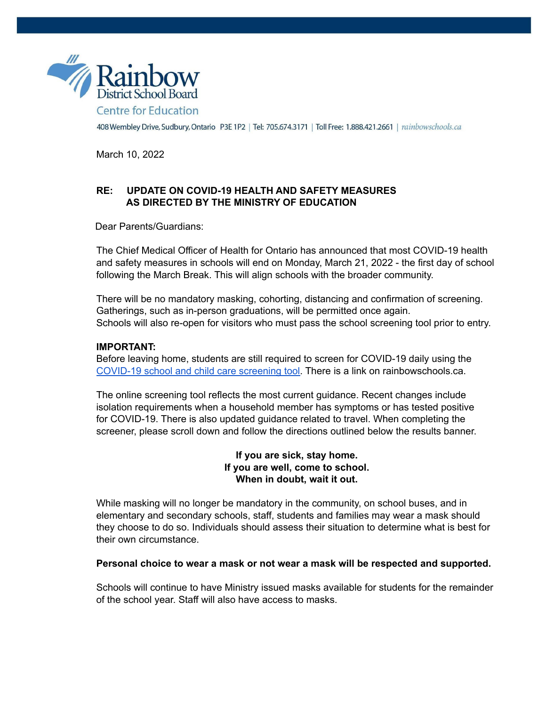

408 Wembley Drive, Sudbury, Ontario P3E 1P2 | Tel: 705.674.3171 | Toll Free: 1.888.421.2661 | rainbowschools.ca

March 10, 2022

## **RE: UPDATE ON COVID-19 HEALTH AND SAFETY MEASURES AS DIRECTED BY THE MINISTRY OF EDUCATION**

Dear Parents/Guardians:

The Chief Medical Officer of Health for Ontario has announced that most COVID-19 health and safety measures in schools will end on Monday, March 21, 2022 - the first day of school following the March Break. This will align schools with the broader community.

There will be no mandatory masking, cohorting, distancing and confirmation of screening. Gatherings, such as in-person graduations, will be permitted once again. Schools will also re-open for visitors who must pass the school screening tool prior to entry.

## **IMPORTANT:**

Before leaving home, students are still required to screen for COVID-19 daily using the [COVID-19](https://covid-19.ontario.ca/school-screening/) school and child care screening tool. There is a link on rainbowschools.ca.

The online screening tool reflects the most current guidance. Recent changes include isolation requirements when a household member has symptoms or has tested positive for COVID-19. There is also updated guidance related to travel. When completing the screener, please scroll down and follow the directions outlined below the results banner.

> **If you are sick, stay home. If you are well, come to school. When in doubt, wait it out.**

While masking will no longer be mandatory in the community, on school buses, and in elementary and secondary schools, staff, students and families may wear a mask should they choose to do so. Individuals should assess their situation to determine what is best for their own circumstance.

## **Personal choice to wear a mask or not wear a mask will be respected and supported.**

Schools will continue to have Ministry issued masks available for students for the remainder of the school year. Staff will also have access to masks.